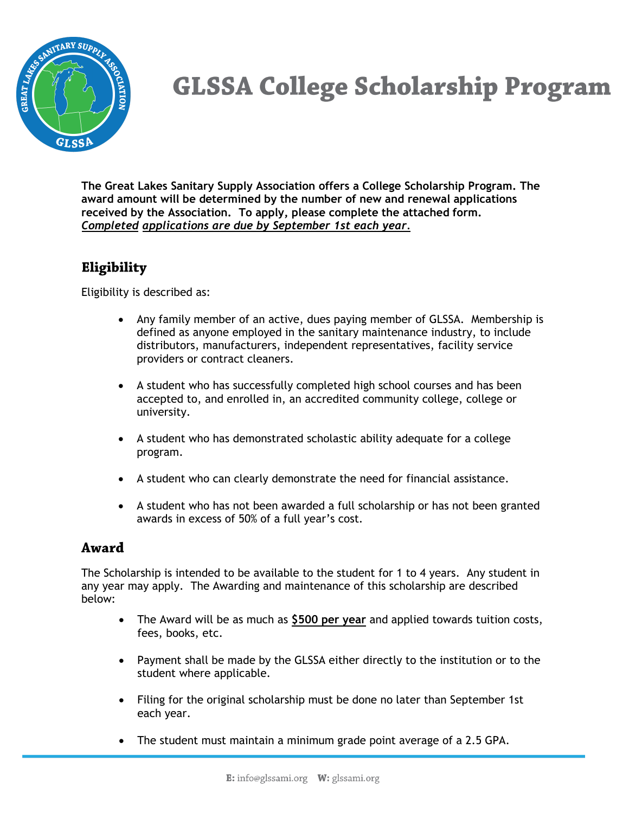

## **GLSSA College Scholarship Program**

**The Great Lakes Sanitary Supply Association offers a College Scholarship Program. The award amount will be determined by the number of new and renewal applications received by the Association. To apply, please complete the attached form.**  *Completed applications are due by September 1st each year.*

## Eligibility

Eligibility is described as:

- Any family member of an active, dues paying member of GLSSA. Membership is defined as anyone employed in the sanitary maintenance industry, to include distributors, manufacturers, independent representatives, facility service providers or contract cleaners.
- A student who has successfully completed high school courses and has been accepted to, and enrolled in, an accredited community college, college or university.
- A student who has demonstrated scholastic ability adequate for a college program.
- A student who can clearly demonstrate the need for financial assistance.
- A student who has not been awarded a full scholarship or has not been granted awards in excess of 50% of a full year's cost.

## Award

The Scholarship is intended to be available to the student for 1 to 4 years. Any student in any year may apply. The Awarding and maintenance of this scholarship are described below:

- The Award will be as much as **\$500 per year** and applied towards tuition costs, fees, books, etc.
- Payment shall be made by the GLSSA either directly to the institution or to the student where applicable.
- Filing for the original scholarship must be done no later than September 1st each year.
- The student must maintain a minimum grade point average of a 2.5 GPA.